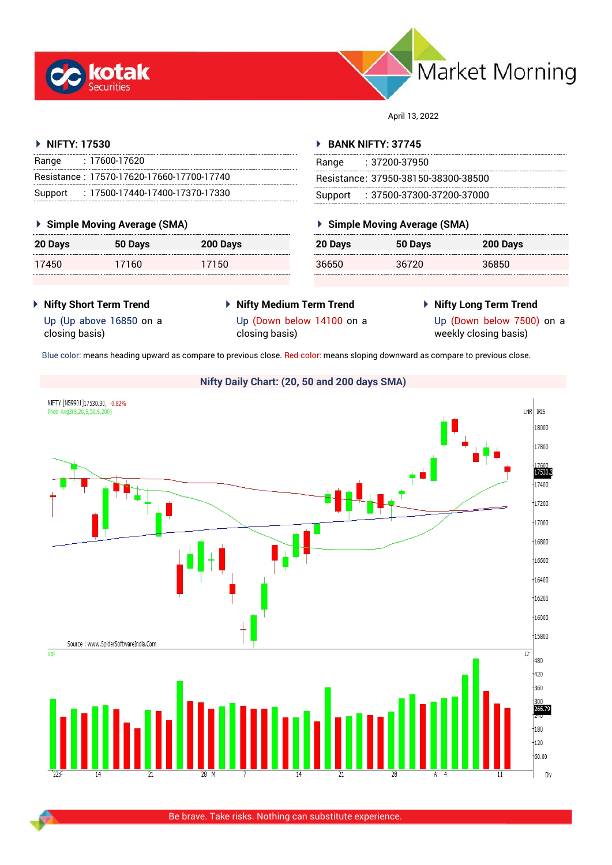



April 13, 2022

#### **NIFTY: 17530**

| Range | : 17600-17620                             |
|-------|-------------------------------------------|
|       | Resistance: 17570-17620-17660-17700-17740 |
|       | Support: : 17500-17440-17400-17370-17330  |

#### **Simple Moving Average (SMA)**

| 20 Days | 50 Days | 200 Days |
|---------|---------|----------|
| 17450   | 17160   | 17150    |

#### **BANK NIFTY: 37745**

| Range | : 37200-37950                       |
|-------|-------------------------------------|
|       | Resistance: 37950-38150-38300-38500 |
|       | Support: : 37500-37300-37200-37000  |

#### **Simple Moving Average (SMA)**

| 20 Days | 50 Days | 200 Days |
|---------|---------|----------|
| 36650   | 36720   | 36850    |

**Nifty Short Term Trend**

Up (Up above 16850 on a

- **Nifty Medium Term Trend** Up (Down below 14100 on a closing basis)
- **Nifty Long Term Trend** Up (Down below 7500) on a

closing basis)

weekly closing basis)

Blue color: means heading upward as compare to previous close. Red color: means sloping downward as compare to previous close.

## **Nifty Daily Chart: (20, 50 and 200 days SMA)**

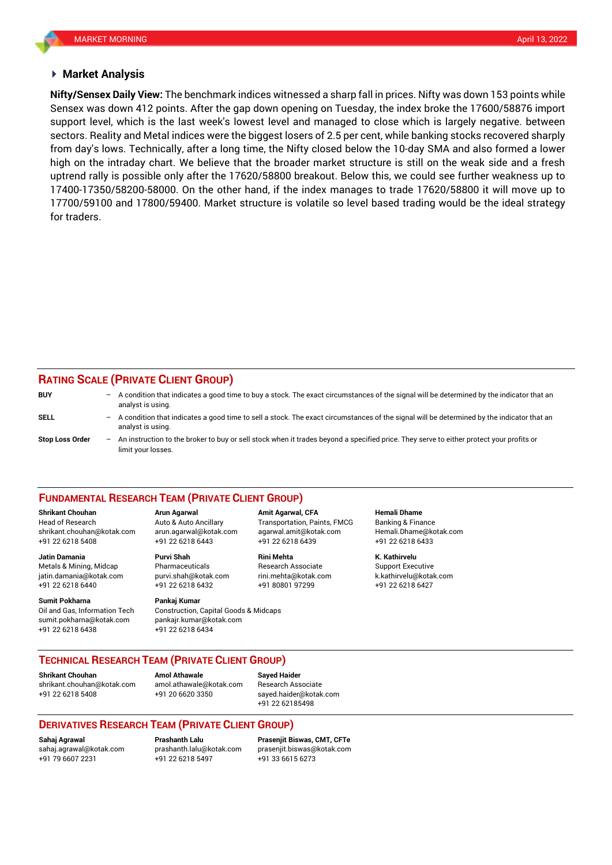#### **Market Analysis**

Sensex was down 412 points. After the gap down opening on Tuesday, the index broke the 17600/58876 import **Nifty/Sensex Daily View:** The benchmark indices witnessed a sharp fall in prices. Nifty was down 153 points while support level, which is the last week's lowest level and managed to close which is largely negative. between sectors. Reality and Metal indices were the biggest losers of 2.5 per cent, while banking stocks recovered sharply from day's lows. Technically, after a long time, the Nifty closed below the 10-day SMA and also formed a lower high on the intraday chart. We believe that the broader market structure is still on the weak side and a fresh uptrend rally is possible only after the 17620/58800 breakout. Below this, we could see further weakness up to 17400-17350/58200-58000. On the other hand, if the index manages to trade 17620/58800 it will move up to 17700/59100 and 17800/59400. Market structure is volatile so level based trading would be the ideal strategy for traders.

## **RATING SCALE (PRIVATE CLIENT GROUP)**

| <b>BUY</b>      | - | A condition that indicates a good time to buy a stock. The exact circumstances of the signal will be determined by the indicator that an<br>analyst is using.  |
|-----------------|---|----------------------------------------------------------------------------------------------------------------------------------------------------------------|
| SELL            | - | A condition that indicates a good time to sell a stock. The exact circumstances of the signal will be determined by the indicator that an<br>analyst is using. |
| Stop Loss Order | - | An instruction to the broker to buy or sell stock when it trades beyond a specified price. They serve to either protect your profits or<br>limit your losses.  |

#### **FUNDAMENTAL RESEARCH TEAM (PRIVATE CLIENT GROUP)**

Head of Research Auto & Auto Ancillary Transportation, Paints, FMCG Banking & Finance [shrikant.chouhan@kotak.com](mailto:shrikant.chouhan@kotak.com) arun.agarwal@kotak.com agarwal.amit@kotak.com Hemali.Dhame@kotak.com

**Jatin Damania Purvi Shah Rini Mehta K. Kathirvelu** Metals & Mining, Midcap Pharmaceuticals Research Associate Support Executive jatin.damania@kotak.com [purvi.shah@kotak.com](mailto:purvi.shah@kotak.com) rini.mehta@kotak.com [k.kathirvelu@kotak.com](mailto:k.kathirvelu@kotak.com) +91 22 6218 6440 +91 22 6218 6432 +91 80801 97299 +91 22 6218 6427

Oil and Gas, Information Tech Construction, Capital Goods & Midcaps sumit.pokharna@kotak.com pankajr.kumar@kotak.com

+91 22 6218 5408 +91 22 6218 6443 +91 22 6218 6439 +91 22 6218 6433

# **Sumit Pokharna** Pankaj Kumar

+91 22 6218 6438 +91 22 6218 6434

**Shrikant Chouhan Arun Agarwal Amit Agarwal, CFA Hemali Dhame**

#### **TECHNICAL RESEARCH TEAM (PRIVATE CLIENT GROUP)**

**Shrikant Chouhan Amol Athawale Sayed Haider**

[shrikant.chouhan@kotak.com](mailto:shrikant.chouhan@kotak.com) [amol.athawale@kotak.com](mailto:amol.athawale@kotak.com) Research Associate +91 22 6218 5408 +91 20 6620 3350 [sayed.haider@kotak.com](mailto:sayed.haider@kotak.com)

+91 22 62185498

#### **DERIVATIVES RESEARCH TEAM (PRIVATE CLIENT GROUP)**

+91 22 6218 5497 +91 33 6615 6273

**Sahaj Agrawal Prashanth Lalu Prasenjit Biswas, CMT, CFTe** [sahaj.agrawal@kotak.com](mailto:sahaj.agrawal@kotak.com) [prashanth.lalu@kotak.com](mailto:prashanth.lalu@kotak.com) [prasenjit.biswas@kotak.com](mailto:prasenjit.biswas@kotak.com)